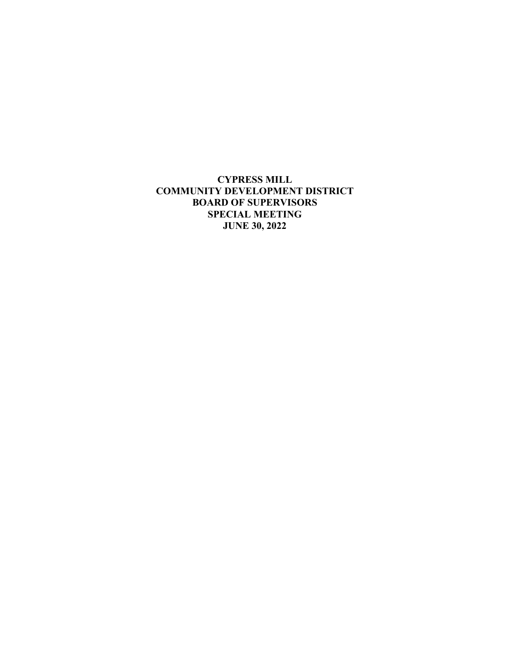**CYPRESS MILL COMMUNITY DEVELOPMENT DISTRICT BOARD OF SUPERVISORS SPECIAL MEETING JUNE 30, 2022**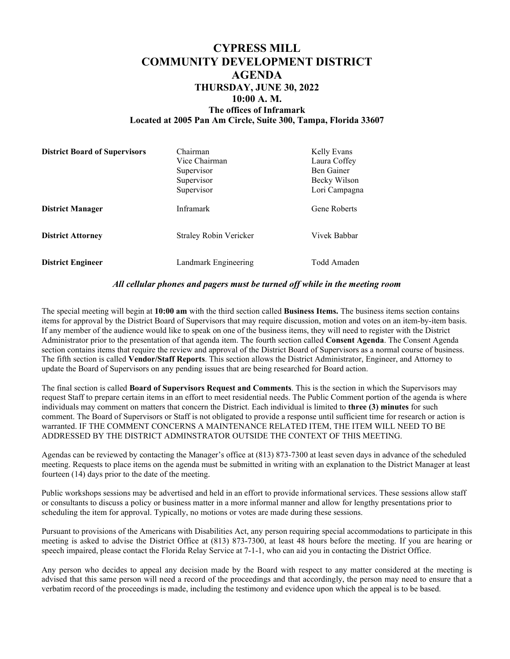# **CYPRESS MILL COMMUNITY DEVELOPMENT DISTRICT AGENDA THURSDAY, JUNE 30, 2022 10:00 A. M. The offices of Inframark Located at 2005 Pan Am Circle, Suite 300, Tampa, Florida 33607**

| <b>District Board of Supervisors</b> | Chairman               | Kelly Evans   |
|--------------------------------------|------------------------|---------------|
|                                      | Vice Chairman          | Laura Coffey  |
|                                      | Supervisor             | Ben Gainer    |
|                                      | Supervisor             | Becky Wilson  |
|                                      | Supervisor             | Lori Campagna |
| <b>District Manager</b>              | Inframark              | Gene Roberts  |
| <b>District Attorney</b>             | Straley Robin Vericker | Vivek Babbar  |
| <b>District Engineer</b>             | Landmark Engineering   | Todd Amaden   |

#### *All cellular phones and pagers must be turned off while in the meeting room*

The special meeting will begin at **10:00 am** with the third section called **Business Items.** The business items section contains items for approval by the District Board of Supervisors that may require discussion, motion and votes on an item-by-item basis. If any member of the audience would like to speak on one of the business items, they will need to register with the District Administrator prior to the presentation of that agenda item. The fourth section called **Consent Agenda**. The Consent Agenda section contains items that require the review and approval of the District Board of Supervisors as a normal course of business. The fifth section is called **Vendor/Staff Reports**. This section allows the District Administrator, Engineer, and Attorney to update the Board of Supervisors on any pending issues that are being researched for Board action.

The final section is called **Board of Supervisors Request and Comments**. This is the section in which the Supervisors may request Staff to prepare certain items in an effort to meet residential needs. The Public Comment portion of the agenda is where individuals may comment on matters that concern the District. Each individual is limited to **three (3) minutes** for such comment. The Board of Supervisors or Staff is not obligated to provide a response until sufficient time for research or action is warranted. IF THE COMMENT CONCERNS A MAINTENANCE RELATED ITEM, THE ITEM WILL NEED TO BE ADDRESSED BY THE DISTRICT ADMINSTRATOR OUTSIDE THE CONTEXT OF THIS MEETING.

Agendas can be reviewed by contacting the Manager's office at (813) 873-7300 at least seven days in advance of the scheduled meeting. Requests to place items on the agenda must be submitted in writing with an explanation to the District Manager at least fourteen (14) days prior to the date of the meeting.

Public workshops sessions may be advertised and held in an effort to provide informational services. These sessions allow staff or consultants to discuss a policy or business matter in a more informal manner and allow for lengthy presentations prior to scheduling the item for approval. Typically, no motions or votes are made during these sessions.

Pursuant to provisions of the Americans with Disabilities Act, any person requiring special accommodations to participate in this meeting is asked to advise the District Office at (813) 873-7300, at least 48 hours before the meeting. If you are hearing or speech impaired, please contact the Florida Relay Service at 7-1-1, who can aid you in contacting the District Office.

Any person who decides to appeal any decision made by the Board with respect to any matter considered at the meeting is advised that this same person will need a record of the proceedings and that accordingly, the person may need to ensure that a verbatim record of the proceedings is made, including the testimony and evidence upon which the appeal is to be based.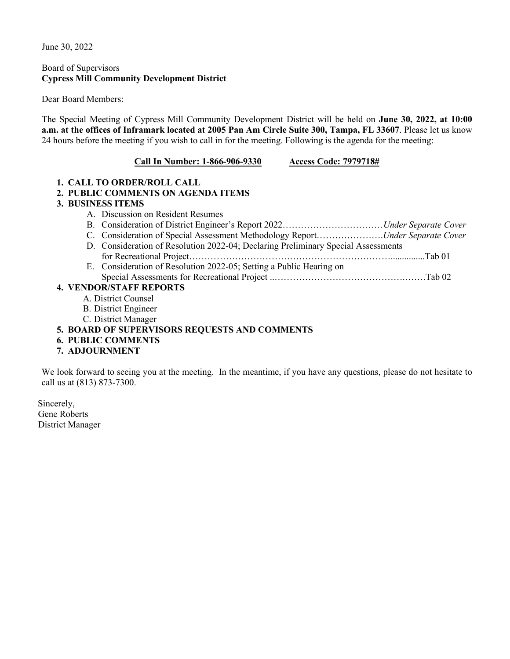June 30, 2022

#### Board of Supervisors **Cypress Mill Community Development District**

Dear Board Members:

The Special Meeting of Cypress Mill Community Development District will be held on **June 30, 2022, at 10:00 a.m. at the offices of Inframark located at 2005 Pan Am Circle Suite 300, Tampa, FL 33607**. Please let us know 24 hours before the meeting if you wish to call in for the meeting. Following is the agenda for the meeting:

#### **Call In Number: 1-866-906-9330 Access Code: 7979718#**

#### **1. CALL TO ORDER/ROLL CALL**

- **2. PUBLIC COMMENTS ON AGENDA ITEMS**
- **3. BUSINESS ITEMS**
	- A. Discussion on Resident Resumes
		- B. Consideration of District Engineer's Report 2022……………………………*Under Separate Cover*
	- C. Consideration of Special Assessment Methodology Report………………….*Under Separate Cover*
		- D. Consideration of Resolution 2022-04; Declaring Preliminary Special Assessments for Recreational Project…………………………………………………………...............Tab 01
		- E. Consideration of Resolution 2022-05; Setting a Public Hearing on
			- Special Assessments for Recreational Project ..…………………………………….…….Tab 02

# **4. VENDOR/STAFF REPORTS**

- A. District Counsel
- B. District Engineer
- C. District Manager
- **5. BOARD OF SUPERVISORS REQUESTS AND COMMENTS**
- **6. PUBLIC COMMENTS**

# **7. ADJOURNMENT**

We look forward to seeing you at the meeting. In the meantime, if you have any questions, please do not hesitate to call us at (813) 873-7300.

Sincerely, Gene Roberts District Manager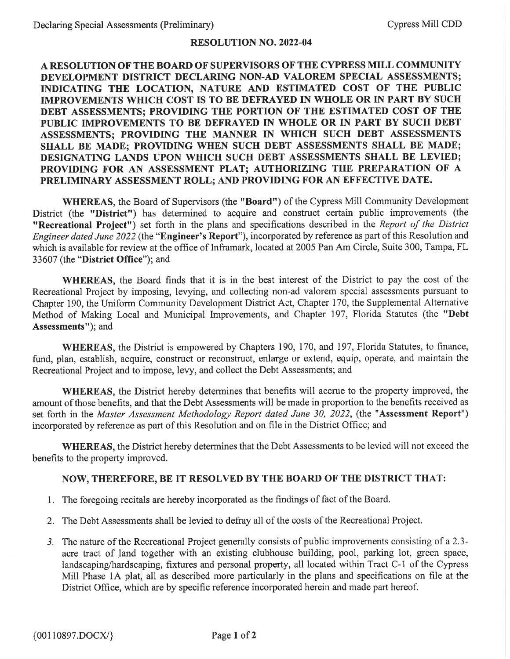#### **RESOLUTION NO. 2022-04**

A RESOLUTION OF THE BOARD OF SUPERVISORS OF THE CYPRESS MILL COMMUNITY DEVELOPMENT DISTRICT DECLARING NON-AD VALOREM SPECIAL ASSESSMENTS; INDICATING THE LOCATION, NATURE AND ESTIMATED COST OF THE PUBLIC IMPROVEMENTS WHICH COST IS TO BE DEFRAYED IN WHOLE OR IN PART BY SUCH DEBT ASSESSMENTS: PROVIDING THE PORTION OF THE ESTIMATED COST OF THE PUBLIC IMPROVEMENTS TO BE DEFRAYED IN WHOLE OR IN PART BY SUCH DEBT ASSESSMENTS; PROVIDING THE MANNER IN WHICH SUCH DEBT ASSESSMENTS SHALL BE MADE; PROVIDING WHEN SUCH DEBT ASSESSMENTS SHALL BE MADE; DESIGNATING LANDS UPON WHICH SUCH DEBT ASSESSMENTS SHALL BE LEVIED; PROVIDING FOR AN ASSESSMENT PLAT; AUTHORIZING THE PREPARATION OF A PRELIMINARY ASSESSMENT ROLL; AND PROVIDING FOR AN EFFECTIVE DATE.

WHEREAS, the Board of Supervisors (the "Board") of the Cypress Mill Community Development District (the "District") has determined to acquire and construct certain public improvements (the "Recreational Project") set forth in the plans and specifications described in the Report of the District Engineer dated June 2022 (the "Engineer's Report"), incorporated by reference as part of this Resolution and which is available for review at the office of Inframark, located at 2005 Pan Am Circle, Suite 300, Tampa, FL 33607 (the "District Office"); and

WHEREAS, the Board finds that it is in the best interest of the District to pay the cost of the Recreational Project by imposing, levying, and collecting non-ad valorem special assessments pursuant to Chapter 190, the Uniform Community Development District Act, Chapter 170, the Supplemental Alternative Method of Making Local and Municipal Improvements, and Chapter 197, Florida Statutes (the "Debt Assessments"); and

WHEREAS, the District is empowered by Chapters 190, 170, and 197, Florida Statutes, to finance, fund, plan, establish, acquire, construct or reconstruct, enlarge or extend, equip, operate, and maintain the Recreational Project and to impose, levy, and collect the Debt Assessments; and

WHEREAS, the District hereby determines that benefits will accrue to the property improved, the amount of those benefits, and that the Debt Assessments will be made in proportion to the benefits received as set forth in the Master Assessment Methodology Report dated June 30, 2022, (the "Assessment Report") incorporated by reference as part of this Resolution and on file in the District Office; and

WHEREAS, the District hereby determines that the Debt Assessments to be levied will not exceed the benefits to the property improved.

# NOW, THEREFORE, BE IT RESOLVED BY THE BOARD OF THE DISTRICT THAT:

- 1. The foregoing recitals are hereby incorporated as the findings of fact of the Board.
- 2. The Debt Assessments shall be levied to defray all of the costs of the Recreational Project.
- 3. The nature of the Recreational Project generally consists of public improvements consisting of a 2.3acre tract of land together with an existing clubhouse building, pool, parking lot, green space, landscaping/hardscaping, fixtures and personal property, all located within Tract C-1 of the Cypress Mill Phase 1A plat, all as described more particularly in the plans and specifications on file at the District Office, which are by specific reference incorporated herein and made part hereof.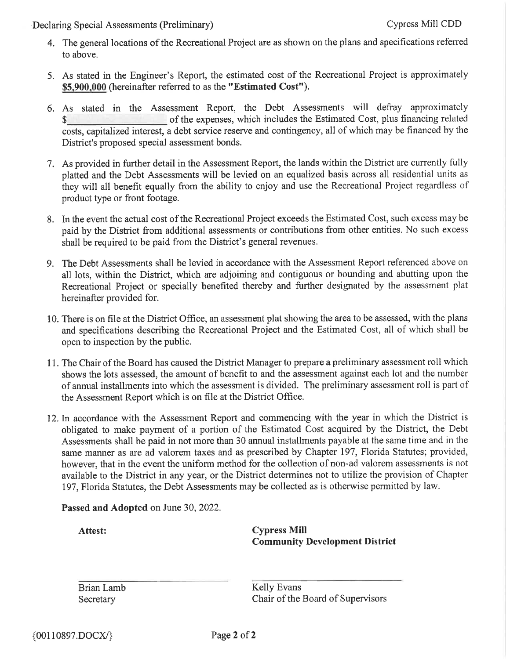Declaring Special Assessments (Preliminary)

- 4. The general locations of the Recreational Project are as shown on the plans and specifications referred to above.
- 5. As stated in the Engineer's Report, the estimated cost of the Recreational Project is approximately \$5,900,000 (hereinafter referred to as the "Estimated Cost").
- 6. As stated in the Assessment Report, the Debt Assessments will defray approximately of the expenses, which includes the Estimated Cost, plus financing related  $\mathsf{s}$  and  $\mathsf{s}$ costs, capitalized interest, a debt service reserve and contingency, all of which may be financed by the District's proposed special assessment bonds.
- 7. As provided in further detail in the Assessment Report, the lands within the District are currently fully platted and the Debt Assessments will be levied on an equalized basis across all residential units as they will all benefit equally from the ability to enjoy and use the Recreational Project regardless of product type or front footage.
- 8. In the event the actual cost of the Recreational Project exceeds the Estimated Cost, such excess may be paid by the District from additional assessments or contributions from other entities. No such excess shall be required to be paid from the District's general revenues.
- 9. The Debt Assessments shall be levied in accordance with the Assessment Report referenced above on all lots, within the District, which are adjoining and contiguous or bounding and abutting upon the Recreational Project or specially benefited thereby and further designated by the assessment plat hereinafter provided for.
- 10. There is on file at the District Office, an assessment plat showing the area to be assessed, with the plans and specifications describing the Recreational Project and the Estimated Cost, all of which shall be open to inspection by the public.
- 11. The Chair of the Board has caused the District Manager to prepare a preliminary assessment roll which shows the lots assessed, the amount of benefit to and the assessment against each lot and the number of annual installments into which the assessment is divided. The preliminary assessment roll is part of the Assessment Report which is on file at the District Office.
- 12. In accordance with the Assessment Report and commencing with the year in which the District is obligated to make payment of a portion of the Estimated Cost acquired by the District, the Debt Assessments shall be paid in not more than 30 annual installments payable at the same time and in the same manner as are ad valorem taxes and as prescribed by Chapter 197, Florida Statutes; provided, however, that in the event the uniform method for the collection of non-ad valorem assessments is not available to the District in any year, or the District determines not to utilize the provision of Chapter 197, Florida Statutes, the Debt Assessments may be collected as is otherwise permitted by law.

Passed and Adopted on June 30, 2022.

Attest:

**Cypress Mill Community Development District** 

Brian Lamb Secretary

Kelly Evans Chair of the Board of Supervisors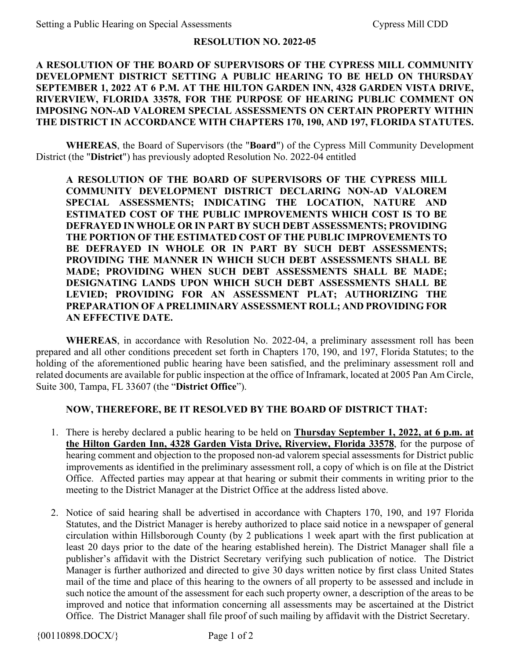# **RESOLUTION NO. 2022-05**

# **A RESOLUTION OF THE BOARD OF SUPERVISORS OF THE CYPRESS MILL COMMUNITY DEVELOPMENT DISTRICT SETTING A PUBLIC HEARING TO BE HELD ON THURSDAY SEPTEMBER 1, 2022 AT 6 P.M. AT THE HILTON GARDEN INN, 4328 GARDEN VISTA DRIVE, RIVERVIEW, FLORIDA 33578, FOR THE PURPOSE OF HEARING PUBLIC COMMENT ON IMPOSING NON-AD VALOREM SPECIAL ASSESSMENTS ON CERTAIN PROPERTY WITHIN THE DISTRICT IN ACCORDANCE WITH CHAPTERS 170, 190, AND 197, FLORIDA STATUTES.**

**WHEREAS**, the Board of Supervisors (the "**Board**") of the Cypress Mill Community Development District (the "**District**") has previously adopted Resolution No. 2022-04 entitled

**A RESOLUTION OF THE BOARD OF SUPERVISORS OF THE CYPRESS MILL COMMUNITY DEVELOPMENT DISTRICT DECLARING NON-AD VALOREM SPECIAL ASSESSMENTS; INDICATING THE LOCATION, NATURE AND ESTIMATED COST OF THE PUBLIC IMPROVEMENTS WHICH COST IS TO BE DEFRAYED IN WHOLE OR IN PART BY SUCH DEBT ASSESSMENTS; PROVIDING THE PORTION OF THE ESTIMATED COST OF THE PUBLIC IMPROVEMENTS TO BE DEFRAYED IN WHOLE OR IN PART BY SUCH DEBT ASSESSMENTS; PROVIDING THE MANNER IN WHICH SUCH DEBT ASSESSMENTS SHALL BE MADE; PROVIDING WHEN SUCH DEBT ASSESSMENTS SHALL BE MADE; DESIGNATING LANDS UPON WHICH SUCH DEBT ASSESSMENTS SHALL BE LEVIED; PROVIDING FOR AN ASSESSMENT PLAT; AUTHORIZING THE PREPARATION OF A PRELIMINARY ASSESSMENT ROLL; AND PROVIDING FOR AN EFFECTIVE DATE.**

**WHEREAS**, in accordance with Resolution No. 2022-04, a preliminary assessment roll has been prepared and all other conditions precedent set forth in Chapters 170, 190, and 197, Florida Statutes; to the holding of the aforementioned public hearing have been satisfied, and the preliminary assessment roll and related documents are available for public inspection at the office of Inframark, located at 2005 Pan Am Circle, Suite 300, Tampa, FL 33607 (the "**District Office**").

# **NOW, THEREFORE, BE IT RESOLVED BY THE BOARD OF DISTRICT THAT:**

- 1. There is hereby declared a public hearing to be held on **Thursday September 1, 2022, at 6 p.m. at the Hilton Garden Inn, 4328 Garden Vista Drive, Riverview, Florida 33578**, for the purpose of hearing comment and objection to the proposed non-ad valorem special assessments for District public improvements as identified in the preliminary assessment roll, a copy of which is on file at the District Office. Affected parties may appear at that hearing or submit their comments in writing prior to the meeting to the District Manager at the District Office at the address listed above.
- 2. Notice of said hearing shall be advertised in accordance with Chapters 170, 190, and 197 Florida Statutes, and the District Manager is hereby authorized to place said notice in a newspaper of general circulation within Hillsborough County (by 2 publications 1 week apart with the first publication at least 20 days prior to the date of the hearing established herein). The District Manager shall file a publisher's affidavit with the District Secretary verifying such publication of notice. The District Manager is further authorized and directed to give 30 days written notice by first class United States mail of the time and place of this hearing to the owners of all property to be assessed and include in such notice the amount of the assessment for each such property owner, a description of the areas to be improved and notice that information concerning all assessments may be ascertained at the District Office. The District Manager shall file proof of such mailing by affidavit with the District Secretary.